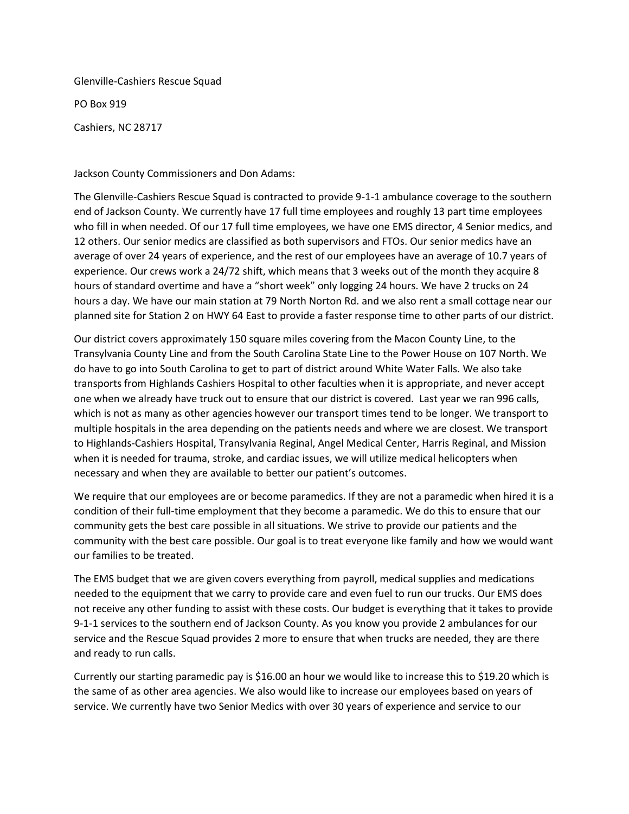Glenville-Cashiers Rescue Squad

PO Box 919

Cashiers, NC 28717

Jackson County Commissioners and Don Adams:

The Glenville-Cashiers Rescue Squad is contracted to provide 9-1-1 ambulance coverage to the southern end of Jackson County. We currently have 17 full time employees and roughly 13 part time employees who fill in when needed. Of our 17 full time employees, we have one EMS director, 4 Senior medics, and 12 others. Our senior medics are classified as both supervisors and FTOs. Our senior medics have an average of over 24 years of experience, and the rest of our employees have an average of 10.7 years of experience. Our crews work a 24/72 shift, which means that 3 weeks out of the month they acquire 8 hours of standard overtime and have a "short week" only logging 24 hours. We have 2 trucks on 24 hours a day. We have our main station at 79 North Norton Rd. and we also rent a small cottage near our planned site for Station 2 on HWY 64 East to provide a faster response time to other parts of our district.

Our district covers approximately 150 square miles covering from the Macon County Line, to the Transylvania County Line and from the South Carolina State Line to the Power House on 107 North. We do have to go into South Carolina to get to part of district around White Water Falls. We also take transports from Highlands Cashiers Hospital to other faculties when it is appropriate, and never accept one when we already have truck out to ensure that our district is covered. Last year we ran 996 calls, which is not as many as other agencies however our transport times tend to be longer. We transport to multiple hospitals in the area depending on the patients needs and where we are closest. We transport to Highlands-Cashiers Hospital, Transylvania Reginal, Angel Medical Center, Harris Reginal, and Mission when it is needed for trauma, stroke, and cardiac issues, we will utilize medical helicopters when necessary and when they are available to better our patient's outcomes.

We require that our employees are or become paramedics. If they are not a paramedic when hired it is a condition of their full-time employment that they become a paramedic. We do this to ensure that our community gets the best care possible in all situations. We strive to provide our patients and the community with the best care possible. Our goal is to treat everyone like family and how we would want our families to be treated.

The EMS budget that we are given covers everything from payroll, medical supplies and medications needed to the equipment that we carry to provide care and even fuel to run our trucks. Our EMS does not receive any other funding to assist with these costs. Our budget is everything that it takes to provide 9-1-1 services to the southern end of Jackson County. As you know you provide 2 ambulances for our service and the Rescue Squad provides 2 more to ensure that when trucks are needed, they are there and ready to run calls.

Currently our starting paramedic pay is \$16.00 an hour we would like to increase this to \$19.20 which is the same of as other area agencies. We also would like to increase our employees based on years of service. We currently have two Senior Medics with over 30 years of experience and service to our